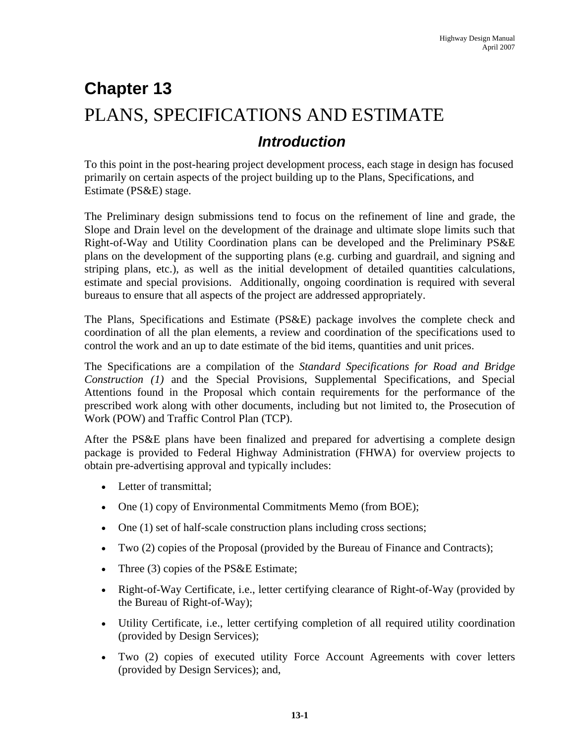# **Chapter 13**  PLANS, SPECIFICATIONS AND ESTIMATE  *Introduction*

To this point in the post-hearing project development process, each stage in design has focused primarily on certain aspects of the project building up to the Plans, Specifications, and Estimate (PS&E) stage.

The Preliminary design submissions tend to focus on the refinement of line and grade, the Slope and Drain level on the development of the drainage and ultimate slope limits such that Right-of-Way and Utility Coordination plans can be developed and the Preliminary PS&E plans on the development of the supporting plans (e.g. curbing and guardrail, and signing and striping plans, etc.), as well as the initial development of detailed quantities calculations, estimate and special provisions. Additionally, ongoing coordination is required with several bureaus to ensure that all aspects of the project are addressed appropriately.

The Plans, Specifications and Estimate (PS&E) package involves the complete check and coordination of all the plan elements, a review and coordination of the specifications used to control the work and an up to date estimate of the bid items, quantities and unit prices.

The Specifications are a compilation of the *Standard Specifications for Road and Bridge Construction (1)* and the Special Provisions, Supplemental Specifications, and Special Attentions found in the Proposal which contain requirements for the performance of the prescribed work along with other documents, including but not limited to, the Prosecution of Work (POW) and Traffic Control Plan (TCP).

After the PS&E plans have been finalized and prepared for advertising a complete design package is provided to Federal Highway Administration (FHWA) for overview projects to obtain pre-advertising approval and typically includes:

- Letter of transmittal:
- One (1) copy of Environmental Commitments Memo (from BOE);
- One (1) set of half-scale construction plans including cross sections;
- Two (2) copies of the Proposal (provided by the Bureau of Finance and Contracts);
- Three (3) copies of the PS&E Estimate;
- Right-of-Way Certificate, i.e., letter certifying clearance of Right-of-Way (provided by the Bureau of Right-of-Way);
- Utility Certificate, i.e., letter certifying completion of all required utility coordination (provided by Design Services);
- Two (2) copies of executed utility Force Account Agreements with cover letters (provided by Design Services); and,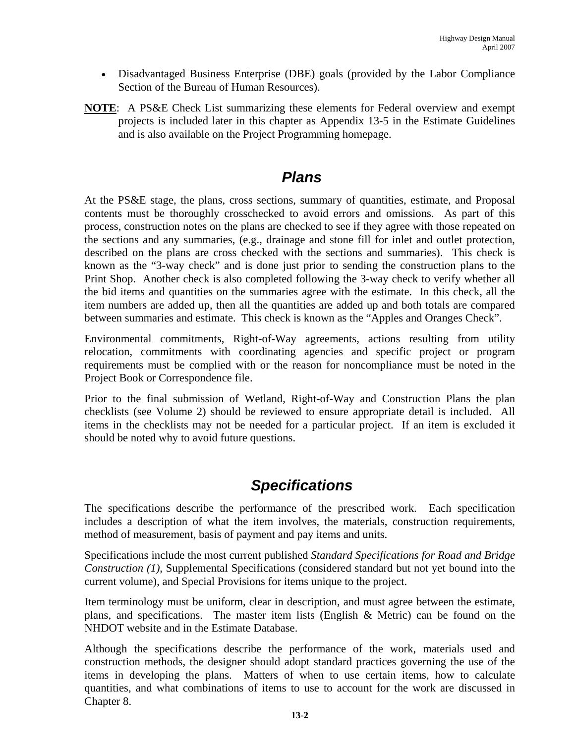- Disadvantaged Business Enterprise (DBE) goals (provided by the Labor Compliance Section of the Bureau of Human Resources).
- **NOTE**: A PS&E Check List summarizing these elements for Federal overview and exempt projects is included later in this chapter as Appendix 13-5 in the Estimate Guidelines and is also available on the Project Programming homepage.

#### *Plans*

At the PS&E stage, the plans, cross sections, summary of quantities, estimate, and Proposal contents must be thoroughly crosschecked to avoid errors and omissions. As part of this process, construction notes on the plans are checked to see if they agree with those repeated on the sections and any summaries, (e.g., drainage and stone fill for inlet and outlet protection, described on the plans are cross checked with the sections and summaries). This check is known as the "3-way check" and is done just prior to sending the construction plans to the Print Shop. Another check is also completed following the 3-way check to verify whether all the bid items and quantities on the summaries agree with the estimate. In this check, all the item numbers are added up, then all the quantities are added up and both totals are compared between summaries and estimate. This check is known as the "Apples and Oranges Check".

Environmental commitments, Right-of-Way agreements, actions resulting from utility relocation, commitments with coordinating agencies and specific project or program requirements must be complied with or the reason for noncompliance must be noted in the Project Book or Correspondence file.

Prior to the final submission of Wetland, Right-of-Way and Construction Plans the plan checklists (see Volume 2) should be reviewed to ensure appropriate detail is included. All items in the checklists may not be needed for a particular project. If an item is excluded it should be noted why to avoid future questions.

### *Specifications*

The specifications describe the performance of the prescribed work. Each specification includes a description of what the item involves, the materials, construction requirements, method of measurement, basis of payment and pay items and units.

Specifications include the most current published *Standard Specifications for Road and Bridge Construction (1)*, Supplemental Specifications (considered standard but not yet bound into the current volume), and Special Provisions for items unique to the project.

Item terminology must be uniform, clear in description, and must agree between the estimate, plans, and specifications. The master item lists (English & Metric) can be found on the NHDOT website and in the Estimate Database.

Although the specifications describe the performance of the work, materials used and construction methods, the designer should adopt standard practices governing the use of the items in developing the plans. Matters of when to use certain items, how to calculate quantities, and what combinations of items to use to account for the work are discussed in Chapter 8.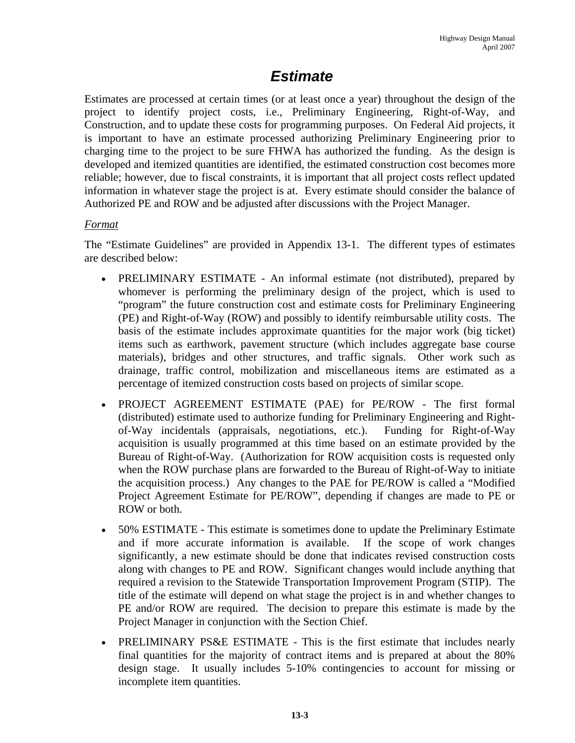### *Estimate*

Estimates are processed at certain times (or at least once a year) throughout the design of the project to identify project costs, i.e., Preliminary Engineering, Right-of-Way, and Construction, and to update these costs for programming purposes. On Federal Aid projects, it is important to have an estimate processed authorizing Preliminary Engineering prior to charging time to the project to be sure FHWA has authorized the funding. As the design is developed and itemized quantities are identified, the estimated construction cost becomes more reliable; however, due to fiscal constraints, it is important that all project costs reflect updated information in whatever stage the project is at. Every estimate should consider the balance of Authorized PE and ROW and be adjusted after discussions with the Project Manager.

#### *Format*

The "Estimate Guidelines" are provided in Appendix 13-1. The different types of estimates are described below:

- PRELIMINARY ESTIMATE An informal estimate (not distributed), prepared by whomever is performing the preliminary design of the project, which is used to "program" the future construction cost and estimate costs for Preliminary Engineering (PE) and Right-of-Way (ROW) and possibly to identify reimbursable utility costs. The basis of the estimate includes approximate quantities for the major work (big ticket) items such as earthwork, pavement structure (which includes aggregate base course materials), bridges and other structures, and traffic signals. Other work such as drainage, traffic control, mobilization and miscellaneous items are estimated as a percentage of itemized construction costs based on projects of similar scope.
- PROJECT AGREEMENT ESTIMATE (PAE) for PE/ROW The first formal (distributed) estimate used to authorize funding for Preliminary Engineering and Rightof-Way incidentals (appraisals, negotiations, etc.). Funding for Right-of-Way acquisition is usually programmed at this time based on an estimate provided by the Bureau of Right-of-Way. (Authorization for ROW acquisition costs is requested only when the ROW purchase plans are forwarded to the Bureau of Right-of-Way to initiate the acquisition process.) Any changes to the PAE for PE/ROW is called a "Modified Project Agreement Estimate for PE/ROW", depending if changes are made to PE or ROW or both.
- 50% ESTIMATE This estimate is sometimes done to update the Preliminary Estimate and if more accurate information is available. If the scope of work changes significantly, a new estimate should be done that indicates revised construction costs along with changes to PE and ROW. Significant changes would include anything that required a revision to the Statewide Transportation Improvement Program (STIP). The title of the estimate will depend on what stage the project is in and whether changes to PE and/or ROW are required. The decision to prepare this estimate is made by the Project Manager in conjunction with the Section Chief.
- PRELIMINARY PS&E ESTIMATE This is the first estimate that includes nearly final quantities for the majority of contract items and is prepared at about the 80% design stage. It usually includes 5-10% contingencies to account for missing or incomplete item quantities.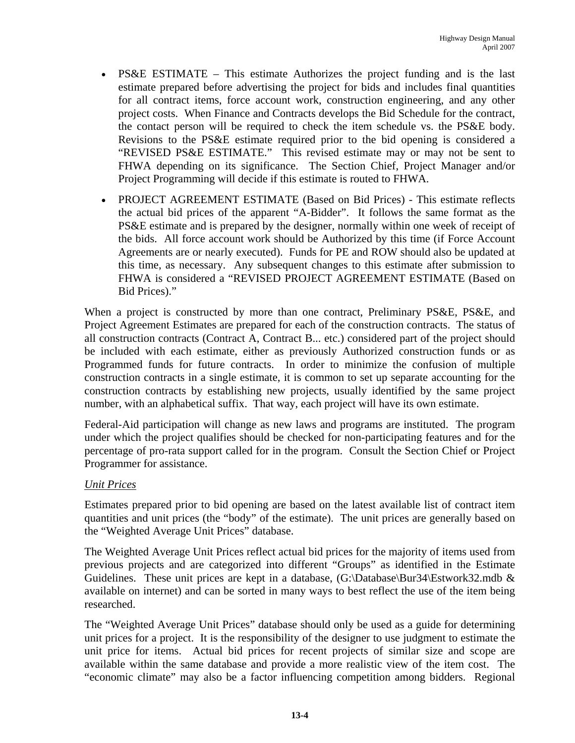- PS&E ESTIMATE This estimate Authorizes the project funding and is the last estimate prepared before advertising the project for bids and includes final quantities for all contract items, force account work, construction engineering, and any other project costs. When Finance and Contracts develops the Bid Schedule for the contract, the contact person will be required to check the item schedule vs. the PS&E body. Revisions to the PS&E estimate required prior to the bid opening is considered a "REVISED PS&E ESTIMATE." This revised estimate may or may not be sent to FHWA depending on its significance. The Section Chief, Project Manager and/or Project Programming will decide if this estimate is routed to FHWA.
- PROJECT AGREEMENT ESTIMATE (Based on Bid Prices) This estimate reflects the actual bid prices of the apparent "A-Bidder". It follows the same format as the PS&E estimate and is prepared by the designer, normally within one week of receipt of the bids. All force account work should be Authorized by this time (if Force Account Agreements are or nearly executed). Funds for PE and ROW should also be updated at this time, as necessary. Any subsequent changes to this estimate after submission to FHWA is considered a "REVISED PROJECT AGREEMENT ESTIMATE (Based on Bid Prices)."

When a project is constructed by more than one contract, Preliminary PS&E, PS&E, and Project Agreement Estimates are prepared for each of the construction contracts. The status of all construction contracts (Contract A, Contract B... etc.) considered part of the project should be included with each estimate, either as previously Authorized construction funds or as Programmed funds for future contracts. In order to minimize the confusion of multiple construction contracts in a single estimate, it is common to set up separate accounting for the construction contracts by establishing new projects, usually identified by the same project number, with an alphabetical suffix. That way, each project will have its own estimate.

Federal-Aid participation will change as new laws and programs are instituted. The program under which the project qualifies should be checked for non-participating features and for the percentage of pro-rata support called for in the program. Consult the Section Chief or Project Programmer for assistance.

#### *Unit Prices*

Estimates prepared prior to bid opening are based on the latest available list of contract item quantities and unit prices (the "body" of the estimate). The unit prices are generally based on the "Weighted Average Unit Prices" database.

The Weighted Average Unit Prices reflect actual bid prices for the majority of items used from previous projects and are categorized into different "Groups" as identified in the Estimate Guidelines. These unit prices are kept in a database,  $(G:\Delta s)$ Batabase $\Bbb B$ ur34 $\Bbb E$ stwork32.mdb & available on internet) and can be sorted in many ways to best reflect the use of the item being researched.

The "Weighted Average Unit Prices" database should only be used as a guide for determining unit prices for a project. It is the responsibility of the designer to use judgment to estimate the unit price for items. Actual bid prices for recent projects of similar size and scope are available within the same database and provide a more realistic view of the item cost. The "economic climate" may also be a factor influencing competition among bidders. Regional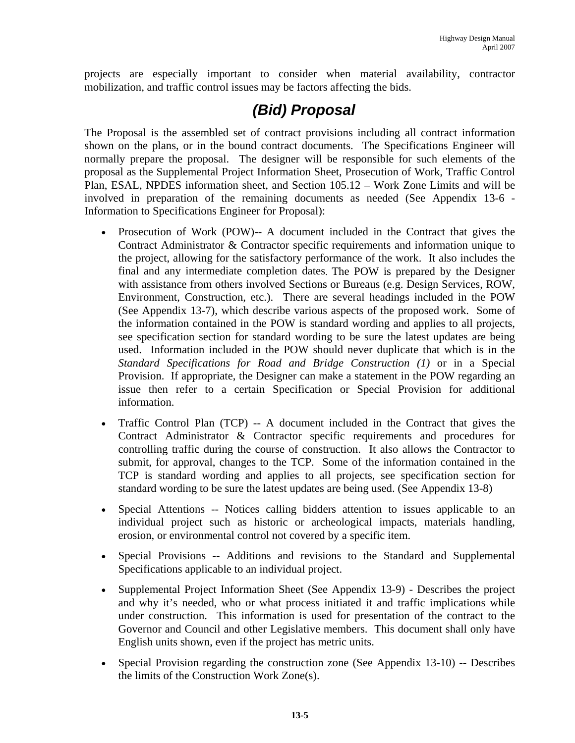projects are especially important to consider when material availability, contractor mobilization, and traffic control issues may be factors affecting the bids.

# *(Bid) Proposal*

The Proposal is the assembled set of contract provisions including all contract information shown on the plans, or in the bound contract documents. The Specifications Engineer will normally prepare the proposal. The designer will be responsible for such elements of the proposal as the Supplemental Project Information Sheet, Prosecution of Work, Traffic Control Plan, ESAL, NPDES information sheet, and Section 105.12 – Work Zone Limits and will be involved in preparation of the remaining documents as needed (See Appendix 13-6 - Information to Specifications Engineer for Proposal):

- Prosecution of Work (POW)-- A document included in the Contract that gives the Contract Administrator & Contractor specific requirements and information unique to the project, allowing for the satisfactory performance of the work. It also includes the final and any intermediate completion dates. The POW is prepared by the Designer with assistance from others involved Sections or Bureaus (e.g. Design Services, ROW, Environment, Construction, etc.). There are several headings included in the POW (See Appendix 13-7), which describe various aspects of the proposed work. Some of the information contained in the POW is standard wording and applies to all projects, see specification section for standard wording to be sure the latest updates are being used. Information included in the POW should never duplicate that which is in the *Standard Specifications for Road and Bridge Construction (1)* or in a Special Provision. If appropriate, the Designer can make a statement in the POW regarding an issue then refer to a certain Specification or Special Provision for additional information.
- Traffic Control Plan (TCP) -- A document included in the Contract that gives the Contract Administrator & Contractor specific requirements and procedures for controlling traffic during the course of construction. It also allows the Contractor to submit, for approval, changes to the TCP. Some of the information contained in the TCP is standard wording and applies to all projects, see specification section for standard wording to be sure the latest updates are being used. (See Appendix 13-8)
- Special Attentions -- Notices calling bidders attention to issues applicable to an individual project such as historic or archeological impacts, materials handling, erosion, or environmental control not covered by a specific item.
- Special Provisions -- Additions and revisions to the Standard and Supplemental Specifications applicable to an individual project.
- Supplemental Project Information Sheet (See Appendix 13-9) Describes the project and why it's needed, who or what process initiated it and traffic implications while under construction. This information is used for presentation of the contract to the Governor and Council and other Legislative members. This document shall only have English units shown, even if the project has metric units.
- Special Provision regarding the construction zone (See Appendix 13-10) -- Describes the limits of the Construction Work Zone(s).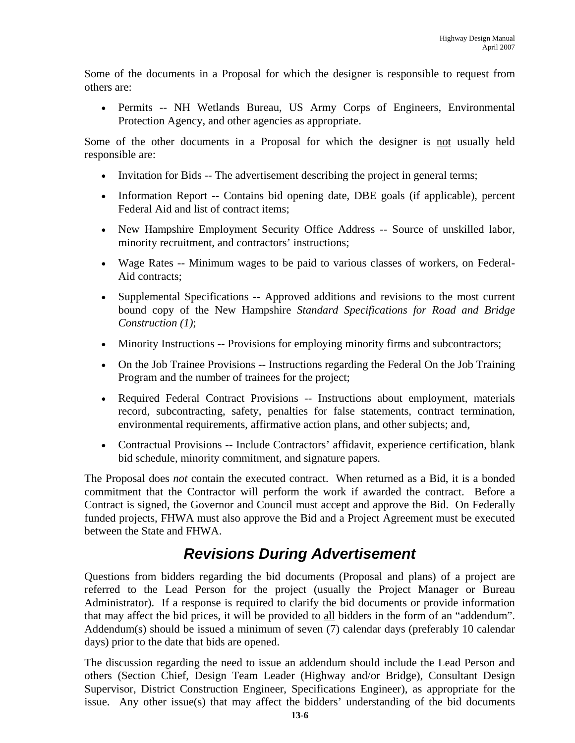Some of the documents in a Proposal for which the designer is responsible to request from others are:

• Permits -- NH Wetlands Bureau, US Army Corps of Engineers, Environmental Protection Agency, and other agencies as appropriate.

Some of the other documents in a Proposal for which the designer is not usually held responsible are:

- Invitation for Bids -- The advertisement describing the project in general terms;
- Information Report -- Contains bid opening date, DBE goals (if applicable), percent Federal Aid and list of contract items;
- New Hampshire Employment Security Office Address -- Source of unskilled labor, minority recruitment, and contractors' instructions;
- Wage Rates -- Minimum wages to be paid to various classes of workers, on Federal-Aid contracts;
- Supplemental Specifications -- Approved additions and revisions to the most current bound copy of the New Hampshire *Standard Specifications for Road and Bridge Construction (1)*;
- Minority Instructions -- Provisions for employing minority firms and subcontractors;
- On the Job Trainee Provisions -- Instructions regarding the Federal On the Job Training Program and the number of trainees for the project;
- Required Federal Contract Provisions -- Instructions about employment, materials record, subcontracting, safety, penalties for false statements, contract termination, environmental requirements, affirmative action plans, and other subjects; and,
- Contractual Provisions -- Include Contractors' affidavit, experience certification, blank bid schedule, minority commitment, and signature papers.

The Proposal does *not* contain the executed contract. When returned as a Bid, it is a bonded commitment that the Contractor will perform the work if awarded the contract. Before a Contract is signed, the Governor and Council must accept and approve the Bid. On Federally funded projects, FHWA must also approve the Bid and a Project Agreement must be executed between the State and FHWA.

# *Revisions During Advertisement*

Questions from bidders regarding the bid documents (Proposal and plans) of a project are referred to the Lead Person for the project (usually the Project Manager or Bureau Administrator). If a response is required to clarify the bid documents or provide information that may affect the bid prices, it will be provided to all bidders in the form of an "addendum". Addendum(s) should be issued a minimum of seven (7) calendar days (preferably 10 calendar days) prior to the date that bids are opened.

The discussion regarding the need to issue an addendum should include the Lead Person and others (Section Chief, Design Team Leader (Highway and/or Bridge), Consultant Design Supervisor, District Construction Engineer, Specifications Engineer), as appropriate for the issue. Any other issue(s) that may affect the bidders' understanding of the bid documents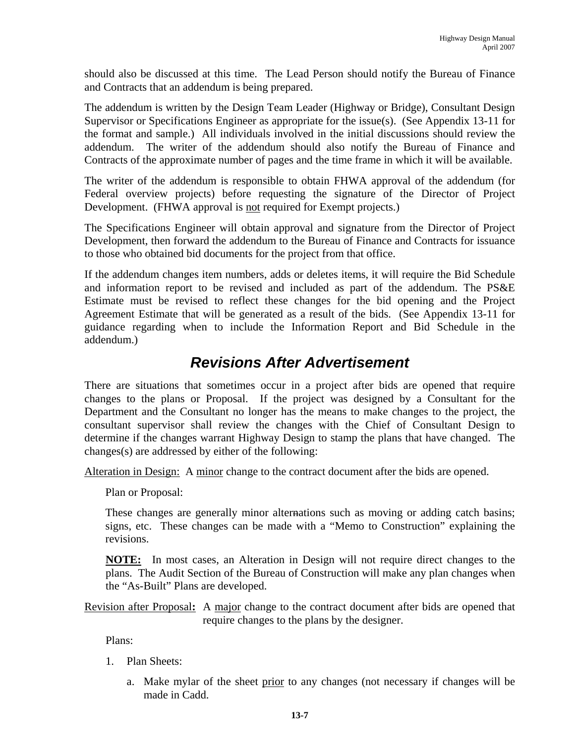should also be discussed at this time. The Lead Person should notify the Bureau of Finance and Contracts that an addendum is being prepared.

The addendum is written by the Design Team Leader (Highway or Bridge), Consultant Design Supervisor or Specifications Engineer as appropriate for the issue(s). (See Appendix 13-11 for the format and sample.) All individuals involved in the initial discussions should review the addendum. The writer of the addendum should also notify the Bureau of Finance and Contracts of the approximate number of pages and the time frame in which it will be available.

The writer of the addendum is responsible to obtain FHWA approval of the addendum (for Federal overview projects) before requesting the signature of the Director of Project Development. (FHWA approval is not required for Exempt projects.)

The Specifications Engineer will obtain approval and signature from the Director of Project Development, then forward the addendum to the Bureau of Finance and Contracts for issuance to those who obtained bid documents for the project from that office.

If the addendum changes item numbers, adds or deletes items, it will require the Bid Schedule and information report to be revised and included as part of the addendum. The PS&E Estimate must be revised to reflect these changes for the bid opening and the Project Agreement Estimate that will be generated as a result of the bids. (See Appendix 13-11 for guidance regarding when to include the Information Report and Bid Schedule in the addendum.)

### *Revisions After Advertisement*

There are situations that sometimes occur in a project after bids are opened that require changes to the plans or Proposal. If the project was designed by a Consultant for the Department and the Consultant no longer has the means to make changes to the project, the consultant supervisor shall review the changes with the Chief of Consultant Design to determine if the changes warrant Highway Design to stamp the plans that have changed. The changes(s) are addressed by either of the following:

Alteration in Design: A minor change to the contract document after the bids are opened.

Plan or Proposal:

These changes are generally minor alternations such as moving or adding catch basins; signs, etc. These changes can be made with a "Memo to Construction" explaining the revisions.

**NOTE:** In most cases, an Alteration in Design will not require direct changes to the plans. The Audit Section of the Bureau of Construction will make any plan changes when the "As-Built" Plans are developed.

Revision after Proposal**:** A major change to the contract document after bids are opened that require changes to the plans by the designer.

Plans:

- 1. Plan Sheets:
	- a. Make mylar of the sheet prior to any changes (not necessary if changes will be made in Cadd.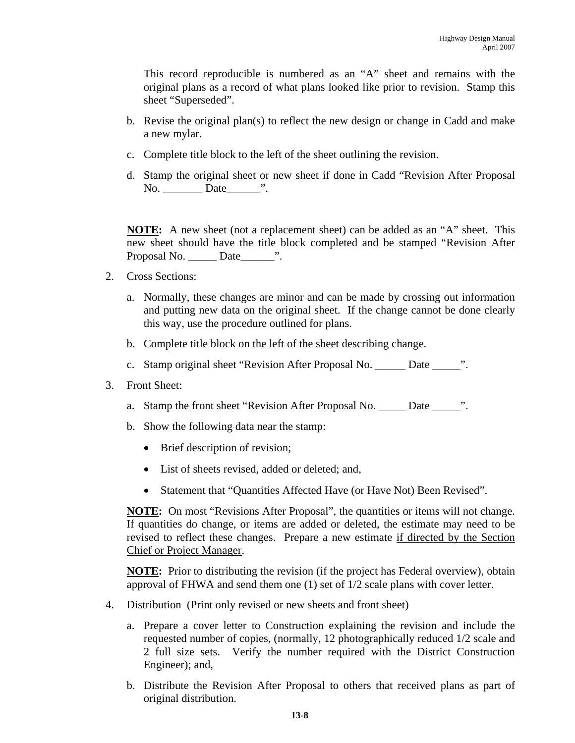This record reproducible is numbered as an "A" sheet and remains with the original plans as a record of what plans looked like prior to revision. Stamp this sheet "Superseded".

- b. Revise the original plan(s) to reflect the new design or change in Cadd and make a new mylar.
- c. Complete title block to the left of the sheet outlining the revision.
- d. Stamp the original sheet or new sheet if done in Cadd "Revision After Proposal No. Date  $\cdots$

**NOTE:** A new sheet (not a replacement sheet) can be added as an "A" sheet. This new sheet should have the title block completed and be stamped "Revision After Proposal No. \_\_\_\_\_\_ Date\_\_\_\_\_\_\_\_".

- 2. Cross Sections:
	- a. Normally, these changes are minor and can be made by crossing out information and putting new data on the original sheet. If the change cannot be done clearly this way, use the procedure outlined for plans.
	- b. Complete title block on the left of the sheet describing change.
	- c. Stamp original sheet "Revision After Proposal No. \_\_\_\_\_ Date \_\_\_\_\_\_".
- 3. Front Sheet:
	- a. Stamp the front sheet "Revision After Proposal No. \_\_\_\_\_ Date \_\_\_\_\_\_".
	- b. Show the following data near the stamp:
		- Brief description of revision;
		- List of sheets revised, added or deleted; and,
		- Statement that "Quantities Affected Have (or Have Not) Been Revised".

**NOTE:** On most "Revisions After Proposal", the quantities or items will not change. If quantities do change, or items are added or deleted, the estimate may need to be revised to reflect these changes. Prepare a new estimate if directed by the Section Chief or Project Manager.

**NOTE:** Prior to distributing the revision (if the project has Federal overview), obtain approval of FHWA and send them one (1) set of 1/2 scale plans with cover letter.

- 4. Distribution (Print only revised or new sheets and front sheet)
	- a. Prepare a cover letter to Construction explaining the revision and include the requested number of copies, (normally, 12 photographically reduced 1/2 scale and 2 full size sets. Verify the number required with the District Construction Engineer); and,
	- b. Distribute the Revision After Proposal to others that received plans as part of original distribution.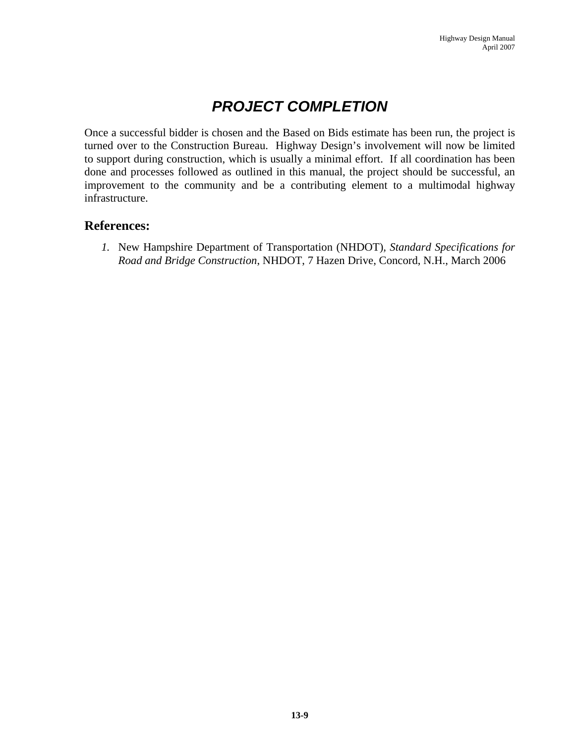# *PROJECT COMPLETION*

Once a successful bidder is chosen and the Based on Bids estimate has been run, the project is turned over to the Construction Bureau. Highway Design's involvement will now be limited to support during construction, which is usually a minimal effort. If all coordination has been done and processes followed as outlined in this manual, the project should be successful, an improvement to the community and be a contributing element to a multimodal highway infrastructure.

#### **References:**

*1.* New Hampshire Department of Transportation (NHDOT)*, Standard Specifications for Road and Bridge Construction*, NHDOT, 7 Hazen Drive, Concord, N.H., March 2006